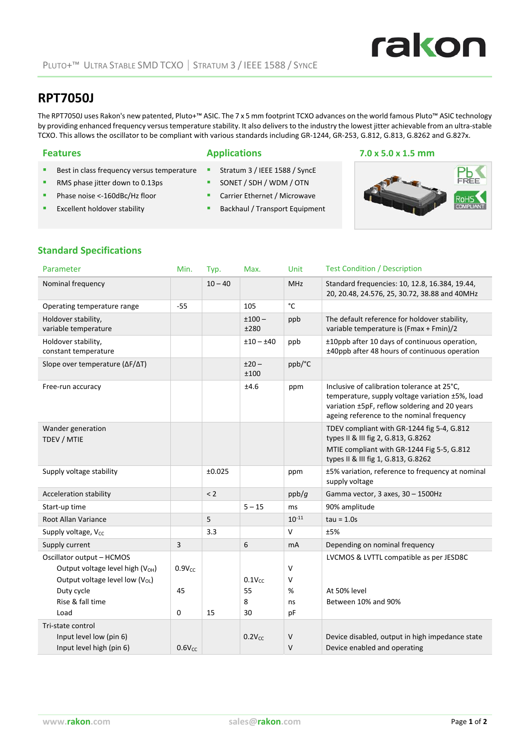# rakon

## **RPT7050J**

The RPT7050J uses Rakon's new patented, Pluto+™ ASIC. The 7 x 5 mm footprint TCXO advances on the world famous Pluto™ ASIC technology by providing enhanced frequency versus temperature stability. It also delivers to the industry the lowest jitter achievable from an ultra‐stable TCXO. This allows the oscillator to be compliant with various standards including GR‐1244, GR‐253, G.812, G.813, G.8262 and G.827x.

- Best in class frequency versus temperature
- RMS phase jitter down to 0.13ps
- Phase noise <-160dBc/Hz floor
- Excellent holdover stability
- Stratum 3 / IEEE 1588 / Synce
- SONET / SDH / WDM / OTN
- **Carrier Ethernet / Microwave**
- **Backhaul / Transport Equipment**

#### **Features Applications 7.0 x 5.0 x 1.5 mm**



#### **Standard Specifications**

| Parameter                                    | Min.               | Typ.      | Max.            | Unit         | <b>Test Condition / Description</b>                                                                                                                                                          |
|----------------------------------------------|--------------------|-----------|-----------------|--------------|----------------------------------------------------------------------------------------------------------------------------------------------------------------------------------------------|
| Nominal frequency                            |                    | $10 - 40$ |                 | <b>MHz</b>   | Standard frequencies: 10, 12.8, 16.384, 19.44,<br>20, 20.48, 24.576, 25, 30.72, 38.88 and 40MHz                                                                                              |
| Operating temperature range                  | $-55$              |           | 105             | $^{\circ}$ C |                                                                                                                                                                                              |
| Holdover stability,<br>variable temperature  |                    |           | $±100-$<br>±280 | ppb          | The default reference for holdover stability,<br>variable temperature is (Fmax + Fmin)/2                                                                                                     |
| Holdover stability,<br>constant temperature  |                    |           | $±10-±40$       | ppb          | ±10ppb after 10 days of continuous operation,<br>±40ppb after 48 hours of continuous operation                                                                                               |
| Slope over temperature (ΔF/ΔT)               |                    |           | $±20-$<br>±100  | ppb/°C       |                                                                                                                                                                                              |
| Free-run accuracy                            |                    |           | ±4.6            | ppm          | Inclusive of calibration tolerance at 25°C,<br>temperature, supply voltage variation ±5%, load<br>variation ±5pF, reflow soldering and 20 years<br>ageing reference to the nominal frequency |
| Wander generation<br>TDEV / MTIE             |                    |           |                 |              | TDEV compliant with GR-1244 fig 5-4, G.812<br>types II & III fig 2, G.813, G.8262<br>MTIE compliant with GR-1244 Fig 5-5, G.812<br>types II & III fig 1, G.813, G.8262                       |
| Supply voltage stability                     |                    | ±0.025    |                 | ppm          | ±5% variation, reference to frequency at nominal<br>supply voltage                                                                                                                           |
| Acceleration stability                       |                    | < 2       |                 | ppb/g        | Gamma vector, 3 axes, 30 - 1500Hz                                                                                                                                                            |
| Start-up time                                |                    |           | $5 - 15$        | ms           | 90% amplitude                                                                                                                                                                                |
| <b>Root Allan Variance</b>                   |                    | 5         |                 | $10^{-11}$   | $tau = 1.0s$                                                                                                                                                                                 |
| Supply voltage, V <sub>cc</sub>              |                    | 3.3       |                 | $\mathsf{V}$ | ±5%                                                                                                                                                                                          |
| Supply current                               | 3                  |           | 6               | <b>mA</b>    | Depending on nominal frequency                                                                                                                                                               |
| Oscillator output - HCMOS                    |                    |           |                 |              | LVCMOS & LVTTL compatible as per JESD8C                                                                                                                                                      |
| Output voltage level high (V <sub>OH</sub> ) | $0.9V_{CC}$        |           |                 | $\vee$       |                                                                                                                                                                                              |
| Output voltage level low $(V_{OL})$          |                    |           | $0.1V_{CC}$     | $\vee$       |                                                                                                                                                                                              |
| Duty cycle                                   | 45                 |           | 55              | %            | At 50% level                                                                                                                                                                                 |
| Rise & fall time                             |                    |           | 8               | ns           | Between 10% and 90%                                                                                                                                                                          |
| Load                                         | 0                  | 15        | 30              | pF           |                                                                                                                                                                                              |
| Tri-state control                            |                    |           |                 |              |                                                                                                                                                                                              |
| Input level low (pin 6)                      |                    |           | $0.2V_{CC}$     | V            | Device disabled, output in high impedance state                                                                                                                                              |
| Input level high (pin 6)                     | 0.6V <sub>CC</sub> |           |                 | V            | Device enabled and operating                                                                                                                                                                 |